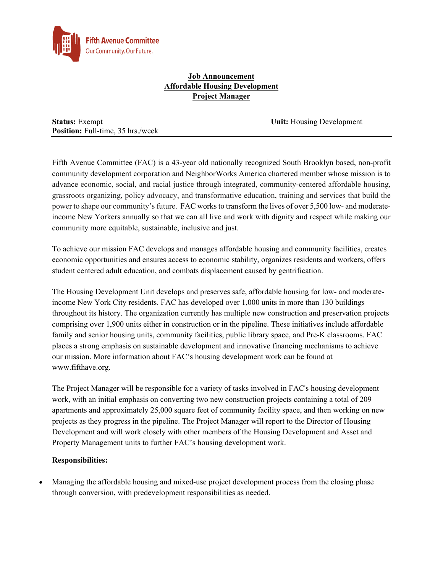

# **Job Announcement Affordable Housing Development Project Manager**

**Status:** Exempt **Unit:** *Housing Development* **Position:** Full-time, 35 hrs./week

Fifth Avenue Committee (FAC) is a 43-year old nationally recognized South Brooklyn based, non-profit community development corporation and NeighborWorks America chartered member whose mission is to advance economic, social, and racial justice through integrated, community-centered affordable housing, grassroots organizing, policy advocacy, and transformative education, training and services that build the power to shape our community's future. FAC works to transform the lives of over 5,500 low- and moderateincome New Yorkers annually so that we can all live and work with dignity and respect while making our community more equitable, sustainable, inclusive and just.

To achieve our mission FAC develops and manages affordable housing and community facilities, creates economic opportunities and ensures access to economic stability, organizes residents and workers, offers student centered adult education, and combats displacement caused by gentrification.

The Housing Development Unit develops and preserves safe, affordable housing for low- and moderateincome New York City residents. FAC has developed over 1,000 units in more than 130 buildings throughout its history. The organization currently has multiple new construction and preservation projects comprising over 1,900 units either in construction or in the pipeline. These initiatives include affordable family and senior housing units, community facilities, public library space, and Pre-K classrooms. FAC places a strong emphasis on sustainable development and innovative financing mechanisms to achieve our mission. More information about FAC's housing development work can be found at www.fifthave.org.

The Project Manager will be responsible for a variety of tasks involved in FAC's housing development work, with an initial emphasis on converting two new construction projects containing a total of 209 apartments and approximately 25,000 square feet of community facility space, and then working on new projects as they progress in the pipeline. The Project Manager will report to the Director of Housing Development and will work closely with other members of the Housing Development and Asset and Property Management units to further FAC's housing development work.

# **Responsibilities:**

 Managing the affordable housing and mixed-use project development process from the closing phase through conversion, with predevelopment responsibilities as needed.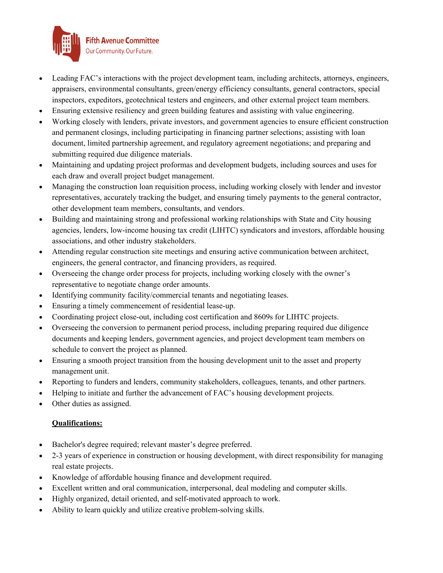

- Leading FAC's interactions with the project development team, including architects, attorneys, engineers, appraisers, environmental consultants, green/energy efficiency consultants, general contractors, special inspectors, expeditors, geotechnical testers and engineers, and other external project team members.
- Ensuring extensive resiliency and green building features and assisting with value engineering.
- Working closely with lenders, private investors, and government agencies to ensure efficient construction and permanent closings, including participating in financing partner selections; assisting with loan document, limited partnership agreement, and regulatory agreement negotiations; and preparing and submitting required due diligence materials.
- Maintaining and updating project proformas and development budgets, including sources and uses for each draw and overall project budget management.
- Managing the construction loan requisition process, including working closely with lender and investor representatives, accurately tracking the budget, and ensuring timely payments to the general contractor, other development team members, consultants, and vendors.
- Building and maintaining strong and professional working relationships with State and City housing agencies, lenders, low-income housing tax credit (LIHTC) syndicators and investors, affordable housing associations, and other industry stakeholders.
- Attending regular construction site meetings and ensuring active communication between architect, engineers, the general contractor, and financing providers, as required.
- Overseeing the change order process for projects, including working closely with the owner's representative to negotiate change order amounts.
- Identifying community facility/commercial tenants and negotiating leases.
- Ensuring a timely commencement of residential lease-up.
- Coordinating project close-out, including cost certification and 8609s for LIHTC projects.
- Overseeing the conversion to permanent period process, including preparing required due diligence documents and keeping lenders, government agencies, and project development team members on schedule to convert the project as planned.
- Ensuring a smooth project transition from the housing development unit to the asset and property management unit.
- Reporting to funders and lenders, community stakeholders, colleagues, tenants, and other partners.
- Helping to initiate and further the advancement of FAC's housing development projects.
- Other duties as assigned.

#### **Qualifications:**

- Bachelor's degree required; relevant master's degree preferred.
- 2-3 years of experience in construction or housing development, with direct responsibility for managing real estate projects.
- Knowledge of affordable housing finance and development required.
- Excellent written and oral communication, interpersonal, deal modeling and computer skills.
- Highly organized, detail oriented, and self-motivated approach to work.
- Ability to learn quickly and utilize creative problem-solving skills.